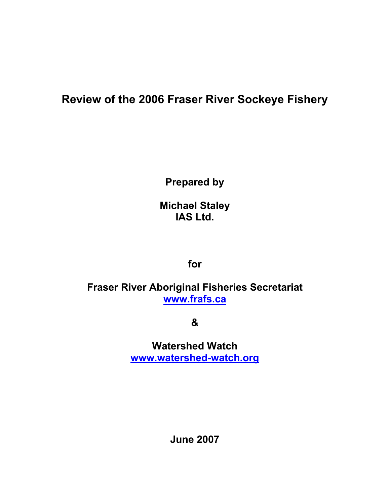# **Review of the 2006 Fraser River Sockeye Fishery**

**Prepared by** 

**Michael Staley IAS Ltd.** 

**for** 

**Fraser River Aboriginal Fisheries Secretariat www.frafs.ca**

**&** 

**Watershed Watch www.watershed-watch.org**

**June 2007**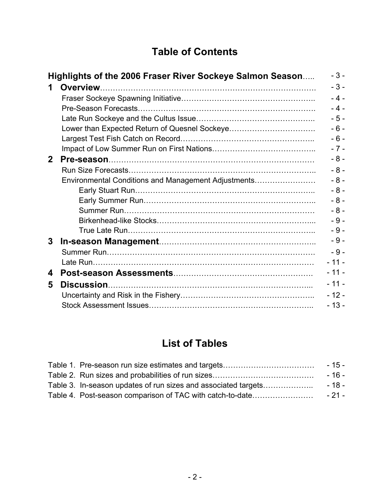# **Table of Contents**

|              | Highlights of the 2006 Fraser River Sockeye Salmon Season | $-3-$  |
|--------------|-----------------------------------------------------------|--------|
| $\mathbf 1$  |                                                           | $-3-$  |
|              |                                                           | $-4-$  |
|              |                                                           | $-4-$  |
|              |                                                           | $-5-$  |
|              |                                                           | $-6-$  |
|              |                                                           | $-6-$  |
|              |                                                           | $-7-$  |
| $\mathbf{2}$ |                                                           | $-8-$  |
|              |                                                           | $-8-$  |
|              | Environmental Conditions and Management Adjustments       | $-8-$  |
|              |                                                           | $-8-$  |
|              |                                                           | $-8-$  |
|              |                                                           | $-8-$  |
|              |                                                           | $-9-$  |
|              |                                                           | $-9-$  |
| 3            |                                                           | $-9-$  |
|              |                                                           | $-9-$  |
|              |                                                           | $-11-$ |
| 4            |                                                           | $-11-$ |
| 5            | <b>Discussion.</b>                                        | $-11-$ |
|              |                                                           | $-12-$ |
|              |                                                           | $-13-$ |
|              |                                                           |        |

# **List of Tables**

|                                                                | - 15 - |
|----------------------------------------------------------------|--------|
|                                                                | - 16 - |
| Table 3. In-season updates of run sizes and associated targets | - 18 - |
| Table 4. Post-season comparison of TAC with catch-to-date      | - 21 - |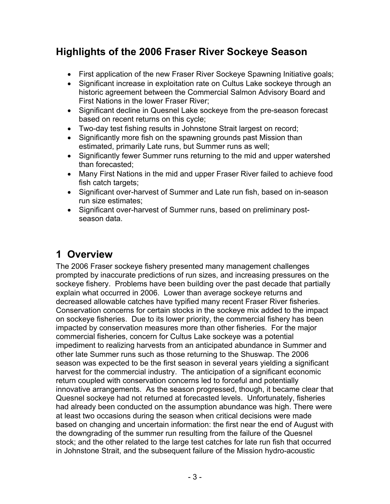# **Highlights of the 2006 Fraser River Sockeye Season**

- First application of the new Fraser River Sockeye Spawning Initiative goals;
- Significant increase in exploitation rate on Cultus Lake sockeye through an historic agreement between the Commercial Salmon Advisory Board and First Nations in the lower Fraser River;
- Significant decline in Quesnel Lake sockeye from the pre-season forecast based on recent returns on this cycle;
- Two-day test fishing results in Johnstone Strait largest on record;
- Significantly more fish on the spawning grounds past Mission than estimated, primarily Late runs, but Summer runs as well;
- Significantly fewer Summer runs returning to the mid and upper watershed than forecasted;
- Many First Nations in the mid and upper Fraser River failed to achieve food fish catch targets;
- Significant over-harvest of Summer and Late run fish, based on in-season run size estimates;
- Significant over-harvest of Summer runs, based on preliminary postseason data.

# **1 Overview**

The 2006 Fraser sockeye fishery presented many management challenges prompted by inaccurate predictions of run sizes, and increasing pressures on the sockeye fishery. Problems have been building over the past decade that partially explain what occurred in 2006. Lower than average sockeye returns and decreased allowable catches have typified many recent Fraser River fisheries. Conservation concerns for certain stocks in the sockeye mix added to the impact on sockeye fisheries. Due to its lower priority, the commercial fishery has been impacted by conservation measures more than other fisheries. For the major commercial fisheries, concern for Cultus Lake sockeye was a potential impediment to realizing harvests from an anticipated abundance in Summer and other late Summer runs such as those returning to the Shuswap. The 2006 season was expected to be the first season in several years yielding a significant harvest for the commercial industry. The anticipation of a significant economic return coupled with conservation concerns led to forceful and potentially innovative arrangements. As the season progressed, though, it became clear that Quesnel sockeye had not returned at forecasted levels. Unfortunately, fisheries had already been conducted on the assumption abundance was high. There were at least two occasions during the season when critical decisions were made based on changing and uncertain information: the first near the end of August with the downgrading of the summer run resulting from the failure of the Quesnel stock; and the other related to the large test catches for late run fish that occurred in Johnstone Strait, and the subsequent failure of the Mission hydro-acoustic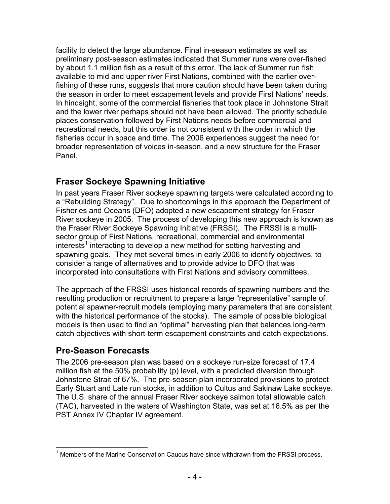facility to detect the large abundance. Final in-season estimates as well as preliminary post-season estimates indicated that Summer runs were over-fished by about 1.1 million fish as a result of this error. The lack of Summer run fish available to mid and upper river First Nations, combined with the earlier overfishing of these runs, suggests that more caution should have been taken during the season in order to meet escapement levels and provide First Nations' needs. In hindsight, some of the commercial fisheries that took place in Johnstone Strait and the lower river perhaps should not have been allowed. The priority schedule places conservation followed by First Nations needs before commercial and recreational needs, but this order is not consistent with the order in which the fisheries occur in space and time. The 2006 experiences suggest the need for broader representation of voices in-season, and a new structure for the Fraser Panel.

### **Fraser Sockeye Spawning Initiative**

In past years Fraser River sockeye spawning targets were calculated according to a "Rebuilding Strategy". Due to shortcomings in this approach the Department of Fisheries and Oceans (DFO) adopted a new escapement strategy for Fraser River sockeye in 2005. The process of developing this new approach is known as the Fraser River Sockeye Spawning Initiative (FRSSI). The FRSSI is a multisector group of First Nations, recreational, commercial and environmental interests<sup>1</sup> interacting to develop a new method for setting harvesting and spawning goals. They met several times in early 2006 to identify objectives, to consider a range of alternatives and to provide advice to DFO that was incorporated into consultations with First Nations and advisory committees.

The approach of the FRSSI uses historical records of spawning numbers and the resulting production or recruitment to prepare a large "representative" sample of potential spawner-recruit models (employing many parameters that are consistent with the historical performance of the stocks). The sample of possible biological models is then used to find an "optimal" harvesting plan that balances long-term catch objectives with short-term escapement constraints and catch expectations.

### **Pre-Season Forecasts**

The 2006 pre-season plan was based on a sockeye run-size forecast of 17.4 million fish at the 50% probability (p) level, with a predicted diversion through Johnstone Strait of 67%. The pre-season plan incorporated provisions to protect Early Stuart and Late run stocks, in addition to Cultus and Sakinaw Lake sockeye. The U.S. share of the annual Fraser River sockeye salmon total allowable catch (TAC), harvested in the waters of Washington State, was set at 16.5% as per the PST Annex IV Chapter IV agreement.

l <sup>1</sup> Members of the Marine Conservation Caucus have since withdrawn from the FRSSI process.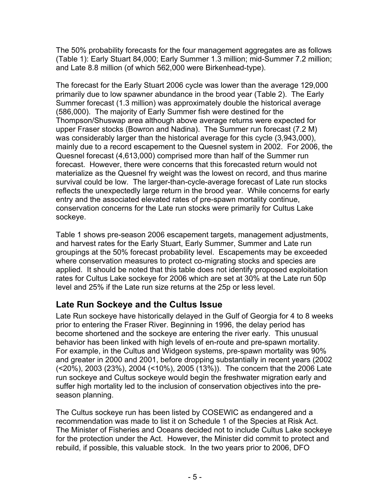The 50% probability forecasts for the four management aggregates are as follows (Table 1): Early Stuart 84,000; Early Summer 1.3 million; mid-Summer 7.2 million; and Late 8.8 million (of which 562,000 were Birkenhead-type).

The forecast for the Early Stuart 2006 cycle was lower than the average 129,000 primarily due to low spawner abundance in the brood year (Table 2). The Early Summer forecast (1.3 million) was approximately double the historical average (586,000). The majority of Early Summer fish were destined for the Thompson/Shuswap area although above average returns were expected for upper Fraser stocks (Bowron and Nadina). The Summer run forecast (7.2 M) was considerably larger than the historical average for this cycle (3,943,000), mainly due to a record escapement to the Quesnel system in 2002. For 2006, the Quesnel forecast (4,613,000) comprised more than half of the Summer run forecast. However, there were concerns that this forecasted return would not materialize as the Quesnel fry weight was the lowest on record, and thus marine survival could be low. The larger-than-cycle-average forecast of Late run stocks reflects the unexpectedly large return in the brood year. While concerns for early entry and the associated elevated rates of pre-spawn mortality continue, conservation concerns for the Late run stocks were primarily for Cultus Lake sockeye.

Table 1 shows pre-season 2006 escapement targets, management adjustments, and harvest rates for the Early Stuart, Early Summer, Summer and Late run groupings at the 50% forecast probability level. Escapements may be exceeded where conservation measures to protect co-migrating stocks and species are applied. It should be noted that this table does not identify proposed exploitation rates for Cultus Lake sockeye for 2006 which are set at 30% at the Late run 50p level and 25% if the Late run size returns at the 25p or less level.

## **Late Run Sockeye and the Cultus Issue**

Late Run sockeye have historically delayed in the Gulf of Georgia for 4 to 8 weeks prior to entering the Fraser River. Beginning in 1996, the delay period has become shortened and the sockeye are entering the river early. This unusual behavior has been linked with high levels of en-route and pre-spawn mortality. For example, in the Cultus and Widgeon systems, pre-spawn mortality was 90% and greater in 2000 and 2001, before dropping substantially in recent years (2002 (<20%), 2003 (23%), 2004 (<10%), 2005 (13%)). The concern that the 2006 Late run sockeye and Cultus sockeye would begin the freshwater migration early and suffer high mortality led to the inclusion of conservation objectives into the preseason planning.

The Cultus sockeye run has been listed by COSEWIC as endangered and a recommendation was made to list it on Schedule 1 of the Species at Risk Act. The Minister of Fisheries and Oceans decided not to include Cultus Lake sockeye for the protection under the Act. However, the Minister did commit to protect and rebuild, if possible, this valuable stock. In the two years prior to 2006, DFO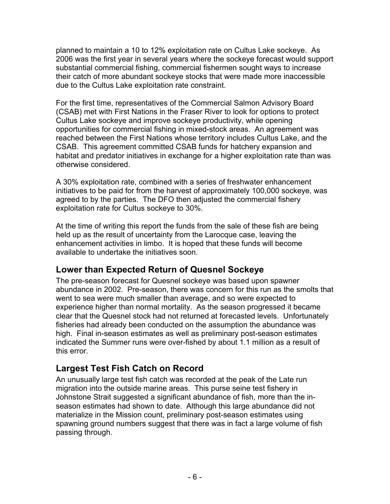planned to maintain a 10 to 12% exploitation rate on Cultus Lake sockeye. As 2006 was the first year in several years where the sockeye forecast would support substantial commercial fishing, commercial fishermen sought ways to increase their catch of more abundant sockeye stocks that were made more inaccessible due to the Cultus Lake exploitation rate constraint.

For the first time, representatives of the Commercial Salmon Advisory Board (CSAB) met with First Nations in the Fraser River to look for options to protect Cultus Lake sockeye and improve sockeye productivity, while opening opportunities for commercial fishing in mixed-stock areas. An agreement was reached between the First Nations whose territory includes Cultus Lake, and the CSAB. This agreement committed CSAB funds for hatchery expansion and habitat and predator initiatives in exchange for a higher exploitation rate than was otherwise considered.

A 30% exploitation rate, combined with a series of freshwater enhancement initiatives to be paid for from the harvest of approximately 100,000 sockeye, was agreed to by the parties. The DFO then adjusted the commercial fishery exploitation rate for Cultus sockeye to 30%.

At the time of writing this report the funds from the sale of these fish are being held up as the result of uncertainty from the Larocque case, leaving the enhancement activities in limbo. It is hoped that these funds will become available to undertake the initiatives soon.

## **Lower than Expected Return of Quesnel Sockeye**

The pre-season forecast for Quesnel sockeye was based upon spawner abundance in 2002. Pre-season, there was concern for this run as the smolts that went to sea were much smaller than average, and so were expected to experience higher than normal mortality. As the season progressed it became clear that the Quesnel stock had not returned at forecasted levels. Unfortunately fisheries had already been conducted on the assumption the abundance was high. Final in-season estimates as well as preliminary post-season estimates indicated the Summer runs were over-fished by about 1.1 million as a result of this error.

### **Largest Test Fish Catch on Record**

An unusually large test fish catch was recorded at the peak of the Late run migration into the outside marine areas. This purse seine test fishery in Johnstone Strait suggested a significant abundance of fish, more than the inseason estimates had shown to date. Although this large abundance did not materialize in the Mission count, preliminary post-season estimates using spawning ground numbers suggest that there was in fact a large volume of fish passing through.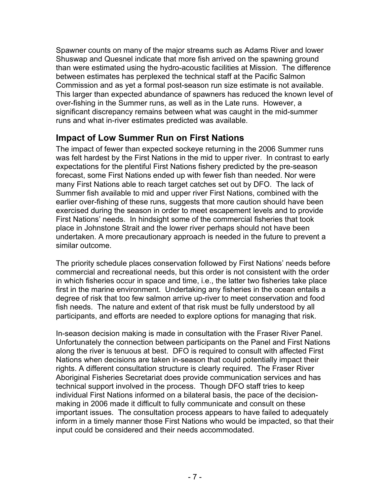Spawner counts on many of the major streams such as Adams River and lower Shuswap and Quesnel indicate that more fish arrived on the spawning ground than were estimated using the hydro-acoustic facilities at Mission. The difference between estimates has perplexed the technical staff at the Pacific Salmon Commission and as yet a formal post-season run size estimate is not available. This larger than expected abundance of spawners has reduced the known level of over-fishing in the Summer runs, as well as in the Late runs. However, a significant discrepancy remains between what was caught in the mid-summer runs and what in-river estimates predicted was available.

### **Impact of Low Summer Run on First Nations**

The impact of fewer than expected sockeye returning in the 2006 Summer runs was felt hardest by the First Nations in the mid to upper river. In contrast to early expectations for the plentiful First Nations fishery predicted by the pre-season forecast, some First Nations ended up with fewer fish than needed. Nor were many First Nations able to reach target catches set out by DFO. The lack of Summer fish available to mid and upper river First Nations, combined with the earlier over-fishing of these runs, suggests that more caution should have been exercised during the season in order to meet escapement levels and to provide First Nations' needs. In hindsight some of the commercial fisheries that took place in Johnstone Strait and the lower river perhaps should not have been undertaken. A more precautionary approach is needed in the future to prevent a similar outcome.

The priority schedule places conservation followed by First Nations' needs before commercial and recreational needs, but this order is not consistent with the order in which fisheries occur in space and time, i.e., the latter two fisheries take place first in the marine environment. Undertaking any fisheries in the ocean entails a degree of risk that too few salmon arrive up-river to meet conservation and food fish needs. The nature and extent of that risk must be fully understood by all participants, and efforts are needed to explore options for managing that risk.

In-season decision making is made in consultation with the Fraser River Panel. Unfortunately the connection between participants on the Panel and First Nations along the river is tenuous at best. DFO is required to consult with affected First Nations when decisions are taken in-season that could potentially impact their rights. A different consultation structure is clearly required. The Fraser River Aboriginal Fisheries Secretariat does provide communication services and has technical support involved in the process. Though DFO staff tries to keep individual First Nations informed on a bilateral basis, the pace of the decisionmaking in 2006 made it difficult to fully communicate and consult on these important issues. The consultation process appears to have failed to adequately inform in a timely manner those First Nations who would be impacted, so that their input could be considered and their needs accommodated.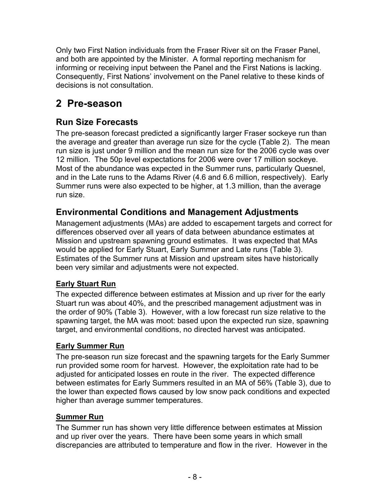Only two First Nation individuals from the Fraser River sit on the Fraser Panel, and both are appointed by the Minister. A formal reporting mechanism for informing or receiving input between the Panel and the First Nations is lacking. Consequently, First Nations' involvement on the Panel relative to these kinds of decisions is not consultation.

# **2 Pre-season**

## **Run Size Forecasts**

The pre-season forecast predicted a significantly larger Fraser sockeye run than the average and greater than average run size for the cycle (Table 2). The mean run size is just under 9 million and the mean run size for the 2006 cycle was over 12 million. The 50p level expectations for 2006 were over 17 million sockeye. Most of the abundance was expected in the Summer runs, particularly Quesnel, and in the Late runs to the Adams River (4.6 and 6.6 million, respectively). Early Summer runs were also expected to be higher, at 1.3 million, than the average run size.

### **Environmental Conditions and Management Adjustments**

Management adjustments (MAs) are added to escapement targets and correct for differences observed over all years of data between abundance estimates at Mission and upstream spawning ground estimates. It was expected that MAs would be applied for Early Stuart, Early Summer and Late runs (Table 3). Estimates of the Summer runs at Mission and upstream sites have historically been very similar and adjustments were not expected.

#### **Early Stuart Run**

The expected difference between estimates at Mission and up river for the early Stuart run was about 40%, and the prescribed management adjustment was in the order of 90% (Table 3). However, with a low forecast run size relative to the spawning target, the MA was moot: based upon the expected run size, spawning target, and environmental conditions, no directed harvest was anticipated.

#### **Early Summer Run**

The pre-season run size forecast and the spawning targets for the Early Summer run provided some room for harvest. However, the exploitation rate had to be adjusted for anticipated losses en route in the river. The expected difference between estimates for Early Summers resulted in an MA of 56% (Table 3), due to the lower than expected flows caused by low snow pack conditions and expected higher than average summer temperatures.

#### **Summer Run**

The Summer run has shown very little difference between estimates at Mission and up river over the years. There have been some years in which small discrepancies are attributed to temperature and flow in the river. However in the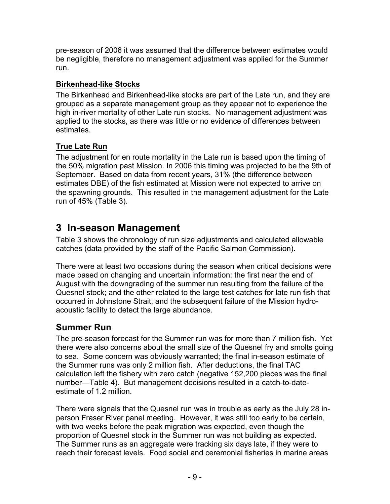pre-season of 2006 it was assumed that the difference between estimates would be negligible, therefore no management adjustment was applied for the Summer run.

#### **Birkenhead-like Stocks**

The Birkenhead and Birkenhead-like stocks are part of the Late run, and they are grouped as a separate management group as they appear not to experience the high in-river mortality of other Late run stocks. No management adjustment was applied to the stocks, as there was little or no evidence of differences between estimates.

#### **True Late Run**

The adjustment for en route mortality in the Late run is based upon the timing of the 50% migration past Mission. In 2006 this timing was projected to be the 9th of September. Based on data from recent years, 31% (the difference between estimates DBE) of the fish estimated at Mission were not expected to arrive on the spawning grounds. This resulted in the management adjustment for the Late run of 45% (Table 3).

# **3 In-season Management**

Table 3 shows the chronology of run size adjustments and calculated allowable catches (data provided by the staff of the Pacific Salmon Commission).

There were at least two occasions during the season when critical decisions were made based on changing and uncertain information: the first near the end of August with the downgrading of the summer run resulting from the failure of the Quesnel stock; and the other related to the large test catches for late run fish that occurred in Johnstone Strait, and the subsequent failure of the Mission hydroacoustic facility to detect the large abundance.

### **Summer Run**

The pre-season forecast for the Summer run was for more than 7 million fish. Yet there were also concerns about the small size of the Quesnel fry and smolts going to sea. Some concern was obviously warranted; the final in-season estimate of the Summer runs was only 2 million fish. After deductions, the final TAC calculation left the fishery with zero catch (negative 152,200 pieces was the final number—Table 4). But management decisions resulted in a catch-to-dateestimate of 1.2 million.

There were signals that the Quesnel run was in trouble as early as the July 28 inperson Fraser River panel meeting. However, it was still too early to be certain, with two weeks before the peak migration was expected, even though the proportion of Quesnel stock in the Summer run was not building as expected. The Summer runs as an aggregate were tracking six days late, if they were to reach their forecast levels. Food social and ceremonial fisheries in marine areas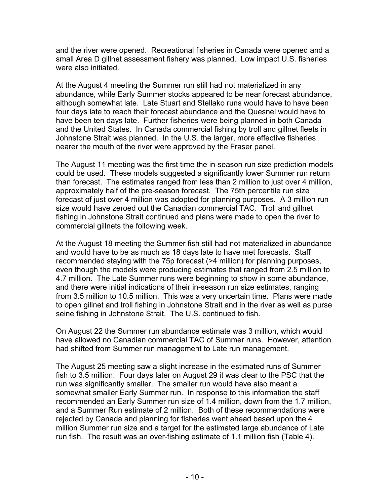and the river were opened. Recreational fisheries in Canada were opened and a small Area D gillnet assessment fishery was planned. Low impact U.S. fisheries were also initiated.

At the August 4 meeting the Summer run still had not materialized in any abundance, while Early Summer stocks appeared to be near forecast abundance, although somewhat late. Late Stuart and Stellako runs would have to have been four days late to reach their forecast abundance and the Quesnel would have to have been ten days late. Further fisheries were being planned in both Canada and the United States. In Canada commercial fishing by troll and gillnet fleets in Johnstone Strait was planned. In the U.S. the larger, more effective fisheries nearer the mouth of the river were approved by the Fraser panel.

The August 11 meeting was the first time the in-season run size prediction models could be used. These models suggested a significantly lower Summer run return than forecast. The estimates ranged from less than 2 million to just over 4 million, approximately half of the pre-season forecast. The 75th percentile run size forecast of just over 4 million was adopted for planning purposes. A 3 million run size would have zeroed out the Canadian commercial TAC. Troll and gillnet fishing in Johnstone Strait continued and plans were made to open the river to commercial gillnets the following week.

At the August 18 meeting the Summer fish still had not materialized in abundance and would have to be as much as 18 days late to have met forecasts. Staff recommended staying with the 75p forecast (>4 million) for planning purposes, even though the models were producing estimates that ranged from 2.5 million to 4.7 million. The Late Summer runs were beginning to show in some abundance, and there were initial indications of their in-season run size estimates, ranging from 3.5 million to 10.5 million. This was a very uncertain time. Plans were made to open gillnet and troll fishing in Johnstone Strait and in the river as well as purse seine fishing in Johnstone Strait. The U.S. continued to fish.

On August 22 the Summer run abundance estimate was 3 million, which would have allowed no Canadian commercial TAC of Summer runs. However, attention had shifted from Summer run management to Late run management.

The August 25 meeting saw a slight increase in the estimated runs of Summer fish to 3.5 million. Four days later on August 29 it was clear to the PSC that the run was significantly smaller. The smaller run would have also meant a somewhat smaller Early Summer run. In response to this information the staff recommended an Early Summer run size of 1.4 million, down from the 1.7 million, and a Summer Run estimate of 2 million. Both of these recommendations were rejected by Canada and planning for fisheries went ahead based upon the 4 million Summer run size and a target for the estimated large abundance of Late run fish. The result was an over-fishing estimate of 1.1 million fish (Table 4).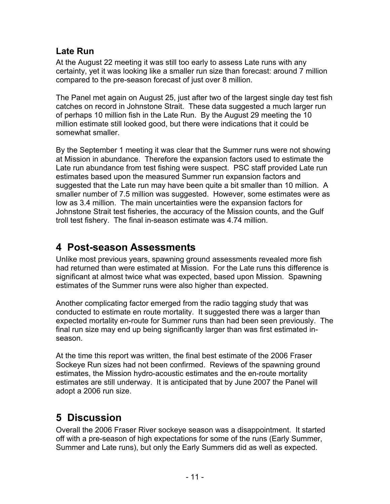### **Late Run**

At the August 22 meeting it was still too early to assess Late runs with any certainty, yet it was looking like a smaller run size than forecast: around 7 million compared to the pre-season forecast of just over 8 million.

The Panel met again on August 25, just after two of the largest single day test fish catches on record in Johnstone Strait. These data suggested a much larger run of perhaps 10 million fish in the Late Run. By the August 29 meeting the 10 million estimate still looked good, but there were indications that it could be somewhat smaller.

By the September 1 meeting it was clear that the Summer runs were not showing at Mission in abundance. Therefore the expansion factors used to estimate the Late run abundance from test fishing were suspect. PSC staff provided Late run estimates based upon the measured Summer run expansion factors and suggested that the Late run may have been quite a bit smaller than 10 million. A smaller number of 7.5 million was suggested. However, some estimates were as low as 3.4 million. The main uncertainties were the expansion factors for Johnstone Strait test fisheries, the accuracy of the Mission counts, and the Gulf troll test fishery. The final in-season estimate was 4.74 million.

# **4 Post-season Assessments**

Unlike most previous years, spawning ground assessments revealed more fish had returned than were estimated at Mission. For the Late runs this difference is significant at almost twice what was expected, based upon Mission. Spawning estimates of the Summer runs were also higher than expected.

Another complicating factor emerged from the radio tagging study that was conducted to estimate en route mortality. It suggested there was a larger than expected mortality en-route for Summer runs than had been seen previously. The final run size may end up being significantly larger than was first estimated inseason.

At the time this report was written, the final best estimate of the 2006 Fraser Sockeye Run sizes had not been confirmed. Reviews of the spawning ground estimates, the Mission hydro-acoustic estimates and the en-route mortality estimates are still underway. It is anticipated that by June 2007 the Panel will adopt a 2006 run size.

# **5 Discussion**

Overall the 2006 Fraser River sockeye season was a disappointment. It started off with a pre-season of high expectations for some of the runs (Early Summer, Summer and Late runs), but only the Early Summers did as well as expected.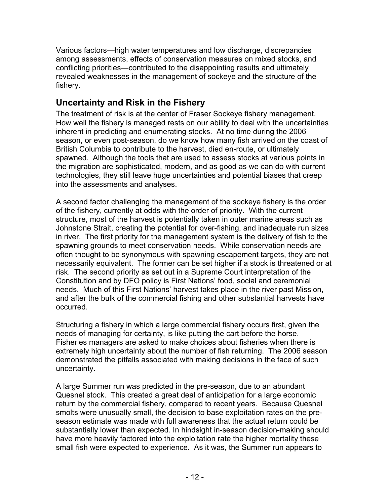Various factors—high water temperatures and low discharge, discrepancies among assessments, effects of conservation measures on mixed stocks, and conflicting priorities—contributed to the disappointing results and ultimately revealed weaknesses in the management of sockeye and the structure of the fishery.

### **Uncertainty and Risk in the Fishery**

The treatment of risk is at the center of Fraser Sockeye fishery management. How well the fishery is managed rests on our ability to deal with the uncertainties inherent in predicting and enumerating stocks. At no time during the 2006 season, or even post-season, do we know how many fish arrived on the coast of British Columbia to contribute to the harvest, died en-route, or ultimately spawned. Although the tools that are used to assess stocks at various points in the migration are sophisticated, modern, and as good as we can do with current technologies, they still leave huge uncertainties and potential biases that creep into the assessments and analyses.

A second factor challenging the management of the sockeye fishery is the order of the fishery, currently at odds with the order of priority. With the current structure, most of the harvest is potentially taken in outer marine areas such as Johnstone Strait, creating the potential for over-fishing, and inadequate run sizes in river. The first priority for the management system is the delivery of fish to the spawning grounds to meet conservation needs. While conservation needs are often thought to be synonymous with spawning escapement targets, they are not necessarily equivalent. The former can be set higher if a stock is threatened or at risk. The second priority as set out in a Supreme Court interpretation of the Constitution and by DFO policy is First Nations' food, social and ceremonial needs. Much of this First Nations' harvest takes place in the river past Mission, and after the bulk of the commercial fishing and other substantial harvests have occurred.

Structuring a fishery in which a large commercial fishery occurs first, given the needs of managing for certainty, is like putting the cart before the horse. Fisheries managers are asked to make choices about fisheries when there is extremely high uncertainty about the number of fish returning. The 2006 season demonstrated the pitfalls associated with making decisions in the face of such uncertainty.

A large Summer run was predicted in the pre-season, due to an abundant Quesnel stock. This created a great deal of anticipation for a large economic return by the commercial fishery, compared to recent years. Because Quesnel smolts were unusually small, the decision to base exploitation rates on the preseason estimate was made with full awareness that the actual return could be substantially lower than expected. In hindsight in-season decision-making should have more heavily factored into the exploitation rate the higher mortality these small fish were expected to experience. As it was, the Summer run appears to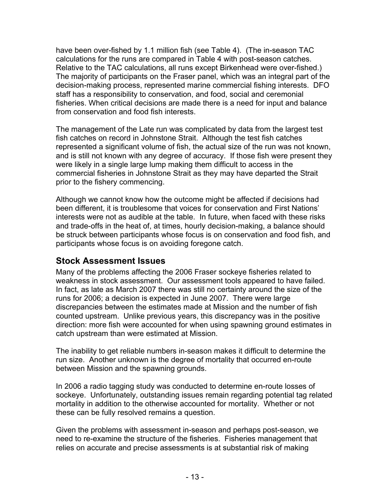have been over-fished by 1.1 million fish (see Table 4). (The in-season TAC calculations for the runs are compared in Table 4 with post-season catches. Relative to the TAC calculations, all runs except Birkenhead were over-fished.) The majority of participants on the Fraser panel, which was an integral part of the decision-making process, represented marine commercial fishing interests. DFO staff has a responsibility to conservation, and food, social and ceremonial fisheries. When critical decisions are made there is a need for input and balance from conservation and food fish interests.

The management of the Late run was complicated by data from the largest test fish catches on record in Johnstone Strait. Although the test fish catches represented a significant volume of fish, the actual size of the run was not known, and is still not known with any degree of accuracy. If those fish were present they were likely in a single large lump making them difficult to access in the commercial fisheries in Johnstone Strait as they may have departed the Strait prior to the fishery commencing.

Although we cannot know how the outcome might be affected if decisions had been different, it is troublesome that voices for conservation and First Nations' interests were not as audible at the table. In future, when faced with these risks and trade-offs in the heat of, at times, hourly decision-making, a balance should be struck between participants whose focus is on conservation and food fish, and participants whose focus is on avoiding foregone catch.

#### **Stock Assessment Issues**

Many of the problems affecting the 2006 Fraser sockeye fisheries related to weakness in stock assessment. Our assessment tools appeared to have failed. In fact, as late as March 2007 there was still no certainty around the size of the runs for 2006; a decision is expected in June 2007. There were large discrepancies between the estimates made at Mission and the number of fish counted upstream. Unlike previous years, this discrepancy was in the positive direction: more fish were accounted for when using spawning ground estimates in catch upstream than were estimated at Mission.

The inability to get reliable numbers in-season makes it difficult to determine the run size. Another unknown is the degree of mortality that occurred en-route between Mission and the spawning grounds.

In 2006 a radio tagging study was conducted to determine en-route losses of sockeye. Unfortunately, outstanding issues remain regarding potential tag related mortality in addition to the otherwise accounted for mortality. Whether or not these can be fully resolved remains a question.

Given the problems with assessment in-season and perhaps post-season, we need to re-examine the structure of the fisheries. Fisheries management that relies on accurate and precise assessments is at substantial risk of making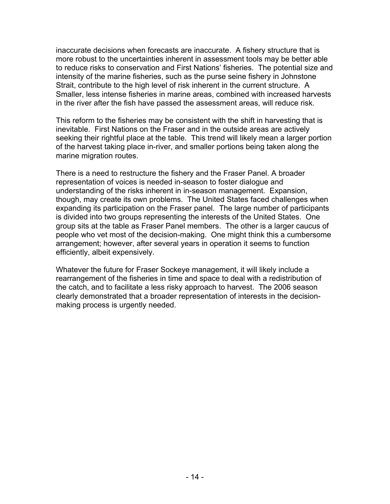inaccurate decisions when forecasts are inaccurate. A fishery structure that is more robust to the uncertainties inherent in assessment tools may be better able to reduce risks to conservation and First Nations' fisheries. The potential size and intensity of the marine fisheries, such as the purse seine fishery in Johnstone Strait, contribute to the high level of risk inherent in the current structure. A Smaller, less intense fisheries in marine areas, combined with increased harvests in the river after the fish have passed the assessment areas, will reduce risk.

This reform to the fisheries may be consistent with the shift in harvesting that is inevitable. First Nations on the Fraser and in the outside areas are actively seeking their rightful place at the table. This trend will likely mean a larger portion of the harvest taking place in-river, and smaller portions being taken along the marine migration routes.

There is a need to restructure the fishery and the Fraser Panel. A broader representation of voices is needed in-season to foster dialogue and understanding of the risks inherent in in-season management. Expansion, though, may create its own problems. The United States faced challenges when expanding its participation on the Fraser panel. The large number of participants is divided into two groups representing the interests of the United States. One group sits at the table as Fraser Panel members. The other is a larger caucus of people who vet most of the decision-making. One might think this a cumbersome arrangement; however, after several years in operation it seems to function efficiently, albeit expensively.

Whatever the future for Fraser Sockeye management, it will likely include a rearrangement of the fisheries in time and space to deal with a redistribution of the catch, and to facilitate a less risky approach to harvest. The 2006 season clearly demonstrated that a broader representation of interests in the decisionmaking process is urgently needed.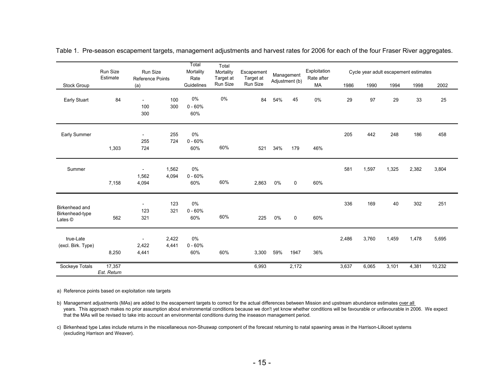|                                              | Run Size<br>Estimate  | Run Size<br><b>Reference Points</b>        | Total<br>Total<br>Mortality<br>Mortality<br>Escapement<br>Target at<br>Target at<br>Rate |                        | Exploitation<br>Management<br>Rate after |          | Cycle year adult escapement estimates |             |       |       |       |       |       |        |
|----------------------------------------------|-----------------------|--------------------------------------------|------------------------------------------------------------------------------------------|------------------------|------------------------------------------|----------|---------------------------------------|-------------|-------|-------|-------|-------|-------|--------|
| Stock Group                                  |                       | (a)                                        |                                                                                          | Guidelines             | Run Size                                 | Run Size | Adjustment (b)                        |             | МA    | 1986  | 1990  | 1994  | 1998  | 2002   |
| <b>Early Stuart</b>                          | 84                    | $\overline{\phantom{a}}$<br>100<br>300     | 100<br>300                                                                               | 0%<br>$0 - 60%$<br>60% | 0%                                       | 84       | 54%                                   | 45          | $0\%$ | 29    | 97    | 29    | 33    | 25     |
| Early Summer                                 | 1,303                 | $\blacksquare$<br>255<br>724               | 255<br>724                                                                               | 0%<br>$0 - 60%$<br>60% | 60%                                      | 521      | 34%                                   | 179         | 46%   | 205   | 442   | 248   | 186   | 458    |
| Summer                                       | 7,158                 | $\overline{\phantom{a}}$<br>1,562<br>4,094 | 1,562<br>4,094                                                                           | 0%<br>$0 - 60%$<br>60% | 60%                                      | 2,863    | 0%                                    | $\mathbf 0$ | 60%   | 581   | 1,597 | 1,325 | 2,382 | 3,804  |
| Birkenhead and<br>Birkenhead-type<br>Lates © | 562                   | $\blacksquare$<br>123<br>321               | 123<br>321                                                                               | 0%<br>$0 - 60%$<br>60% | 60%                                      | 225      | 0%                                    | $\mathbf 0$ | 60%   | 336   | 169   | 40    | 302   | 251    |
| true-Late<br>(excl. Birk. Type)              | 8,250                 | $\overline{\phantom{a}}$<br>2,422<br>4,441 | 2,422<br>4,441                                                                           | 0%<br>$0 - 60%$<br>60% | 60%                                      | 3,300    | 59%                                   | 1947        | 36%   | 2,486 | 3,760 | 1,459 | 1,478 | 5,695  |
| Sockeye Totals                               | 17,357<br>Est. Return |                                            |                                                                                          |                        |                                          | 6,993    |                                       | 2,172       |       | 3,637 | 6,065 | 3,101 | 4,381 | 10,232 |

Table 1. Pre-season escapement targets, management adjustments and harvest rates for 2006 for each of the four Fraser River aggregates.

a) Reference points based on exploitation rate targets

b) Management adjustments (MAs) are added to the escapement targets to correct for the actual differences between Mission and upstream abundance estimates over all years. This approach makes no prior assumption about environmental conditions because we don't yet know whether conditions will be favourable or unfavourable in 2006. We expect that the MAs will be revised to take into account an environmental conditions during the inseason management period.

c) Birkenhead type Lates include returns in the miscellaneous non-Shuswap component of the forecast returning to natal spawning areas in the Harrison-Lillooet systems (excluding Harrison and Weaver).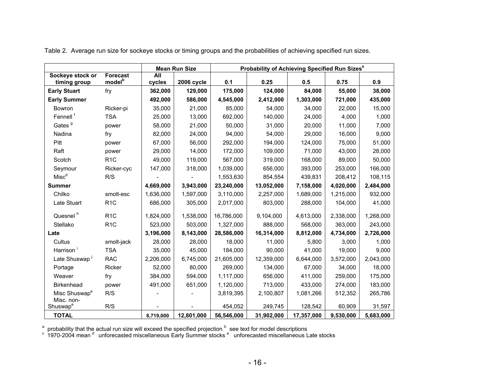|                                         |                    |           | <b>Mean Run Size</b> | Probability of Achieving Specified Run Sizes <sup>a</sup> |            |            |           |           |  |  |
|-----------------------------------------|--------------------|-----------|----------------------|-----------------------------------------------------------|------------|------------|-----------|-----------|--|--|
| Sockeye stock or                        | <b>Forecast</b>    | All       |                      |                                                           |            |            |           |           |  |  |
| timing group                            | model <sup>b</sup> | cycles    | <b>2006 cycle</b>    | 0.1                                                       | 0.25       | 0.5        | 0.75      | 0.9       |  |  |
| <b>Early Stuart</b>                     | fry                | 362,000   | 129,000              | 175,000                                                   | 124,000    | 84,000     | 55,000    | 38,000    |  |  |
| <b>Early Summer</b>                     |                    | 492,000   | 586,000              | 4,545,000                                                 | 2,412,000  | 1,303,000  | 721,000   | 435,000   |  |  |
| Bowron                                  | Ricker-pi          | 35,000    | 21,000               | 85,000                                                    | 54,000     | 34,000     | 22,000    | 15,000    |  |  |
| Fennell <sup>f</sup>                    | <b>TSA</b>         | 25,000    | 13,000               | 692,000                                                   | 140,000    | 24,000     | 4,000     | 1,000     |  |  |
| Gates <sup>9</sup>                      | power              | 58,000    | 21,000               | 50,000                                                    | 31,000     | 20,000     | 11,000    | 7,000     |  |  |
| Nadina                                  | fry                | 82,000    | 24,000               | 94,000                                                    | 54,000     | 29,000     | 16,000    | 9,000     |  |  |
| Pitt                                    | power              | 67,000    | 56,000               | 292,000                                                   | 194,000    | 124,000    | 75,000    | 51,000    |  |  |
| Raft                                    | power              | 29,000    | 14,000               | 172,000                                                   | 109,000    | 71,000     | 43,000    | 28,000    |  |  |
| Scotch                                  | R <sub>1</sub> C   | 49,000    | 119,000              | 567,000                                                   | 319,000    | 168,000    | 89,000    | 50,000    |  |  |
| Seymour                                 | Ricker-cyc         | 147,000   | 318,000              | 1,039,000                                                 | 656,000    | 393,000    | 253,000   | 166,000   |  |  |
| Misc <sup>d</sup>                       | R/S                |           |                      | 1,553,630                                                 | 854,554    | 439,831    | 208,412   | 108,115   |  |  |
| <b>Summer</b>                           |                    | 4,669,000 | 3,943,000            | 23,240,000                                                | 13,052,000 | 7,158,000  | 4,020,000 | 2,484,000 |  |  |
| Chilko                                  | smolt-esc          | 1,636,000 | 1,597,000            | 3,110,000                                                 | 2,257,000  | 1,689,000  | 1,215,000 | 932,000   |  |  |
| Late Stuart                             | R <sub>1</sub> C   | 686,000   | 305,000              | 2,017,000                                                 | 803,000    | 288,000    | 104,000   | 41,000    |  |  |
| Quesnel <sup>h</sup>                    | R <sub>1</sub> C   | 1,824,000 | 1,538,000            | 16,786,000                                                | 9,104,000  | 4,613,000  | 2,338,000 | 1,268,000 |  |  |
| Stellako                                | R <sub>1</sub> C   | 523,000   | 503,000              | 1,327,000                                                 | 888,000    | 568,000    | 363,000   | 243,000   |  |  |
| Late                                    |                    | 3,196,000 | 8,143,000            | 28,586,000                                                | 16,314,000 | 8,812,000  | 4,734,000 | 2,726,000 |  |  |
| Cultus                                  | smolt-jack         | 28,000    | 28,000               | 18,000                                                    | 11,000     | 5,800      | 3,000     | 1,000     |  |  |
| Harrison <sup>1</sup>                   | <b>TSA</b>         | 35,000    | 45,000               | 184,000                                                   | 90,000     | 41,000     | 19,000    | 9,000     |  |  |
| Late Shuswap <sup>1</sup>               | <b>RAC</b>         | 2,206,000 | 6,745,000            | 21,605,000                                                | 12,359,000 | 6,644,000  | 3,572,000 | 2,043,000 |  |  |
| Portage                                 | Ricker             | 52,000    | 80,000               | 269,000                                                   | 134,000    | 67,000     | 34,000    | 18,000    |  |  |
| Weaver                                  | fry                | 384,000   | 594,000              | 1,117,000                                                 | 656,000    | 411,000    | 259,000   | 175,000   |  |  |
| <b>Birkenhead</b>                       | power              | 491,000   | 651,000              | 1,120,000                                                 | 713,000    | 433,000    | 274,000   | 183,000   |  |  |
| Misc Shuswap <sup>e</sup><br>Misc. non- | R/S                |           |                      | 3,819,395                                                 | 2,100,807  | 1,081,266  | 512,352   | 265,786   |  |  |
| Shuswap <sup>e</sup>                    | R/S                |           |                      | 454,052                                                   | 249,745    | 128,542    | 60,909    | 31,597    |  |  |
| <b>TOTAL</b>                            |                    | 8,719,000 | 12,801,000           | 56,546,000                                                | 31,902,000 | 17,357,000 | 9,530,000 | 5,683,000 |  |  |

Table 2. Average run size for sockeye stocks or timing groups and the probabilities of achieving specified run sizes.

<sup>a</sup> probability that the actual run size will exceed the specified projection <sup>b</sup> see text for model descriptions

 $\degree$  1970-2004 mean  $\degree$  unforecasted miscellaneous Early Summer stocks  $\degree$  unforecasted miscellaneous Late stocks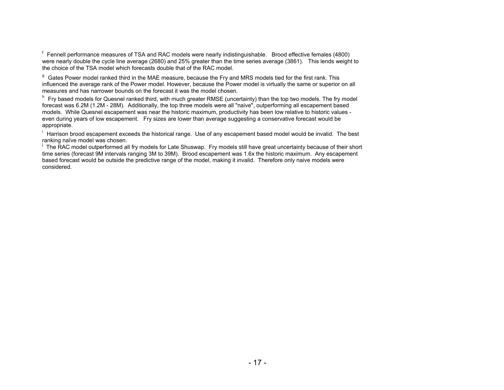f Fennell performance measures of TSA and RAC models were nearly indistinguishable. Brood effective females (4800) were nearly double the cycle line average (2680) and 25% greater than the time series average (3861). This lends weight to the choice of the TSA model which forecasts double that of the RAC model.

<sup>g</sup> Gates Power model ranked third in the MAE measure, because the Fry and MRS models tied for the first rank. This influenced the average rank of the Power model. However, because the Power model is virtually the same or superior on all measures and has narrower bounds on the forecast it was the model chosen.

h Fry based models for Quesnel ranked third, with much greater RMSE (uncertainty) than the top two models. The fry model forecast was 6.2M (1.2M - 28M). Additionally, the top three models were all "naive", outperforming all escapement based models. While Quesnel escapement was near the historic maximum, productivity has been low relative to historic values even during years of low escapement. Fry sizes are lower than average suggesting a conservative forecast would be appropriate.

<sup>i</sup> Harrison brood escapement exceeds the historical range. Use of any escapement based model would be invalid. The best<br>ranking naïve model was chosen.

<sup>j</sup> The RAC model outperformed all fry models for Late Shuswap. Fry models still have great uncertainty because of their short time series (forecast 9M intervals ranging 3M to 39M). Brood escapement was 1.6x the historic maximum. Any escapement based forecast would be outside the predictive range of the model, making it invalid. Therefore only naive models were considered.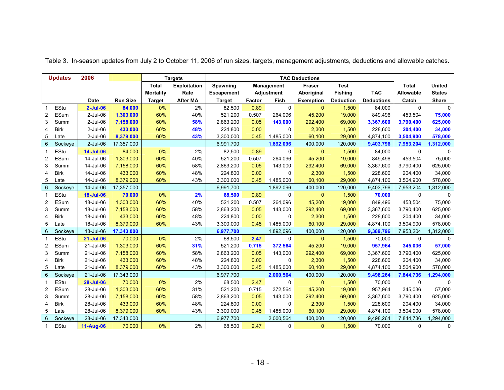|                | <b>Updates</b> | 2006             |                 |                  | <b>Targets</b>      |                   |        |                   | <b>TAC Deductions</b> |                  |                   |              |               |
|----------------|----------------|------------------|-----------------|------------------|---------------------|-------------------|--------|-------------------|-----------------------|------------------|-------------------|--------------|---------------|
|                |                |                  |                 | <b>Total</b>     | <b>Exploitation</b> | Spawning          |        | <b>Management</b> | <b>Fraser</b>         | <b>Test</b>      |                   | <b>Total</b> | <b>United</b> |
|                |                |                  |                 | <b>Mortality</b> | Rate                | <b>Escapement</b> |        | Adjustment        | Aboriginal            | <b>Fishing</b>   | <b>TAC</b>        | Allowable    | <b>States</b> |
|                |                | <b>Date</b>      | <b>Run Size</b> | <b>Target</b>    | <b>After MA</b>     | <b>Target</b>     | Factor | Fish              | <b>Exemption</b>      | <b>Deduction</b> | <b>Deductions</b> | Catch        | <b>Share</b>  |
|                | EStu           | $2$ -Jul-06      | 84,000          | 0%               | 2%                  | 82,500            | 0.89   | $\mathbf 0$       | $\mathbf{0}$          | 1,500            | 84,000            | 0            | 0             |
| 2              | ESum           | $2$ -Jul-06      | 1,303,000       | 60%              | 40%                 | 521,200           | 0.507  | 264,096           | 45,200                | 19,000           | 849,496           | 453,504      | 75,000        |
| 3              | Summ           | $2$ -Jul-06      | 7,158,000       | 60%              | 58%                 | 2,863,200         | 0.05   | 143,000           | 292,400               | 69,000           | 3,367,600         | 3,790,400    | 625,000       |
| 4              | <b>Birk</b>    | $2$ -Jul-06      | 433,000         | 60%              | 48%                 | 224,800           | 0.00   | $\mathbf{0}$      | 2,300                 | 1,500            | 228,600           | 204,400      | 34,000        |
| 5              | Late           | $2$ -Jul-06      | 8,379,000       | 60%              | 43%                 | 3,300,000         | 0.45   | 1,485,000         | 60,100                | 29,000           | 4,874,100         | 3,504,900    | 578,000       |
| 6              | Sockeye        | $2$ -Jul-06      | 17,357,000      |                  |                     | 6,991,700         |        | 1,892,096         | 400,000               | 120,000          | 9,403,796         | 7,953,204    | 1,312,000     |
| $\mathbf{1}$   | EStu           | <b>14-Jul-06</b> | 84,000          | 0%               | 2%                  | 82,500            | 0.89   | $\mathbf 0$       | $\mathbf{0}$          | 1,500            | 84,000            | $\mathbf 0$  | $\Omega$      |
| $\overline{2}$ | ESum           | 14-Jul-06        | 1,303,000       | 60%              | 40%                 | 521,200           | 0.507  | 264,096           | 45,200                | 19,000           | 849,496           | 453,504      | 75,000        |
| 3              | Summ           | 14-Jul-06        | 7,158,000       | 60%              | 58%                 | 2,863,200         | 0.05   | 143,000           | 292,400               | 69,000           | 3,367,600         | 3,790,400    | 625,000       |
| 4              | <b>Birk</b>    | 14-Jul-06        | 433,000         | 60%              | 48%                 | 224,800           | 0.00   | $\mathbf{0}$      | 2,300                 | 1,500            | 228,600           | 204,400      | 34,000        |
| 5              | Late           | 14-Jul-06        | 8,379,000       | 60%              | 43%                 | 3,300,000         | 0.45   | 1,485,000         | 60,100                | 29,000           | 4,874,100         | 3,504,900    | 578,000       |
| 6              | Sockeye        | 14-Jul-06        | 17,357,000      |                  |                     | 6,991,700         |        | 1,892,096         | 400,000               | 120,000          | 9,403,796         | 7,953,204    | 1,312,000     |
| $\mathbf 1$    | EStu           | <b>18-Jul-06</b> | 70,000          | 0%               | 2%                  | 68,500            | 0.89   | $\Omega$          | $\Omega$              | 1,500            | 70,000            | $\Omega$     | 0             |
| 2              | ESum           | 18-Jul-06        | 1,303,000       | 60%              | 40%                 | 521,200           | 0.507  | 264,096           | 45,200                | 19,000           | 849,496           | 453.504      | 75,000        |
| 3              | Summ           | 18-Jul-06        | 7,158,000       | 60%              | 58%                 | 2,863,200         | 0.05   | 143,000           | 292,400               | 69,000           | 3,367,600         | 3,790,400    | 625,000       |
| 4              | <b>Birk</b>    | 18-Jul-06        | 433,000         | 60%              | 48%                 | 224,800           | 0.00   | $\Omega$          | 2,300                 | 1,500            | 228,600           | 204,400      | 34,000        |
| 5              | Late           | 18-Jul-06        | 8,379,000       | 60%              | 43%                 | 3,300,000         | 0.45   | 1,485,000         | 60,100                | 29,000           | 4,874,100         | 3,504,900    | 578,000       |
| 6              | Sockeye        | 18-Jul-06        | 17,343,000      |                  |                     | 6,977,700         |        | 1,892,096         | 400,000               | 120,000          | 9,389,796         | 7,953,204    | 1,312,000     |
| $\mathbf 1$    | EStu           | 21-Jul-06        | 70,000          | 0%               | 2%                  | 68,500            | 2.47   | $\Omega$          | $\Omega$              | 1,500            | 70,000            | $\Omega$     | $\Omega$      |
| 2              | ESum           | 21-Jul-06        | 1,303,000       | 60%              | 31%                 | 521,200           | 0.715  | 372,564           | 45,200                | 19,000           | 957,964           | 345,036      | 57,000        |
| 3              | Summ           | 21-Jul-06        | 7,158,000       | 60%              | 58%                 | 2,863,200         | 0.05   | 143,000           | 292,400               | 69,000           | 3,367,600         | 3,790,400    | 625,000       |
| 4              | <b>Birk</b>    | 21-Jul-06        | 433,000         | 60%              | 48%                 | 224,800           | 0.00   | $\mathbf{0}$      | 2,300                 | 1,500            | 228,600           | 204,400      | 34,000        |
| 5              | Late           | 21-Jul-06        | 8,379,000       | 60%              | 43%                 | 3,300,000         | 0.45   | 1,485,000         | 60,100                | 29,000           | 4,874,100         | 3,504,900    | 578,000       |
| 6              | Sockeye        | 21-Jul-06        | 17,343,000      |                  |                     | 6,977,700         |        | 2,000,564         | 400,000               | 120,000          | 9,498,264         | 7,844,736    | 1,294,000     |
| $\mathbf 1$    | EStu           | 28-Jul-06        | 70,000          | 0%               | 2%                  | 68,500            | 2.47   | $\mathbf 0$       | $\mathbf{0}$          | 1,500            | 70,000            | $\mathbf 0$  | $\Omega$      |
| 2              | ESum           | 28-Jul-06        | 1,303,000       | 60%              | 31%                 | 521,200           | 0.715  | 372,564           | 45,200                | 19,000           | 957,964           | 345,036      | 57,000        |
| 3              | Summ           | 28-Jul-06        | 7,158,000       | 60%              | 58%                 | 2,863,200         | 0.05   | 143,000           | 292,400               | 69,000           | 3,367,600         | 3,790,400    | 625,000       |
| 4              | <b>Birk</b>    | 28-Jul-06        | 433,000         | 60%              | 48%                 | 224,800           | 0.00   | $\mathbf{0}$      | 2,300                 | 1,500            | 228,600           | 204,400      | 34,000        |
| 5              | Late           | 28-Jul-06        | 8,379,000       | 60%              | 43%                 | 3,300,000         | 0.45   | 1,485,000         | 60,100                | 29,000           | 4,874,100         | 3,504,900    | 578,000       |
| 6              | Sockeye        | 28-Jul-06        | 17,343,000      |                  |                     | 6,977,700         |        | 2,000,564         | 400,000               | 120,000          | 9,498,264         | 7,844,736    | 1,294,000     |
| $\mathbf{1}$   | EStu           | 11-Aug-06        | 70,000          | 0%               | 2%                  | 68,500            | 2.47   | $\mathbf 0$       | $\mathbf{0}$          | 1,500            | 70,000            | $\mathbf 0$  | $\mathbf 0$   |

Table 3. In-season updates from July 2 to October 11, 2006 of run sizes, targets, management adjustments, deductions and allowable catches.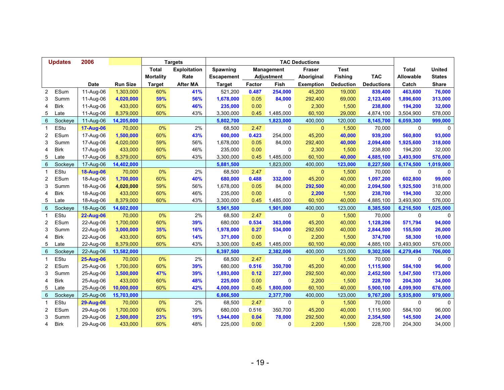|                         | <b>Updates</b> | 2006             |                 |                  | <b>Targets</b>      |                   | <b>TAC Deductions</b> |                   |                  |                  |                   |              |               |
|-------------------------|----------------|------------------|-----------------|------------------|---------------------|-------------------|-----------------------|-------------------|------------------|------------------|-------------------|--------------|---------------|
|                         |                |                  |                 | <b>Total</b>     | <b>Exploitation</b> | Spawning          |                       | <b>Management</b> | <b>Fraser</b>    | <b>Test</b>      |                   | <b>Total</b> | <b>United</b> |
|                         |                |                  |                 | <b>Mortality</b> | Rate                | <b>Escapement</b> |                       | Adjustment        | Aboriginal       | <b>Fishing</b>   | <b>TAC</b>        | Allowable    | <b>States</b> |
|                         |                | <b>Date</b>      | <b>Run Size</b> | <b>Target</b>    | <b>After MA</b>     | <b>Target</b>     | <b>Factor</b>         | Fish              | <b>Exemption</b> | <b>Deduction</b> | <b>Deductions</b> | Catch        | Share         |
| $\overline{2}$          | ESum           | 11-Aug-06        | 1,303,000       | 60%              | 41%                 | 521,200           | 0.487                 | 254,000           | 45,200           | 19,000           | 839,400           | 463,600      | 76,000        |
| 3                       | Summ           | 11-Aug-06        | 4,020,000       | 59%              | 56%                 | 1,678,000         | 0.05                  | 84,000            | 292,400          | 69,000           | 2,123,400         | 1,896,600    | 313,000       |
| 4                       | <b>Birk</b>    | 11-Aug-06        | 433,000         | 60%              | 46%                 | 235,000           | 0.00                  | 0                 | 2,300            | 1,500            | 238,800           | 194,200      | 32,000        |
| 5                       | Late           | 11-Aug-06        | 8,379,000       | 60%              | 43%                 | 3,300,000         | 0.45                  | 1,485,000         | 60,100           | 29,000           | 4,874,100         | 3,504,900    | 578,000       |
| 6                       | Sockeye        | 11-Aug-06        | 14,205,000      |                  |                     | 5,802,700         |                       | 1,823,000         | 400,000          | 120,000          | 8,145,700         | 6,059,300    | 999,000       |
| 1                       | EStu           | 17-Aug-06        | 70,000          | 0%               | 2%                  | 68,500            | 2.47                  | 0                 | $\mathbf{0}$     | 1,500            | 70,000            | 0            | $\Omega$      |
| $\overline{2}$          | ESum           | 17-Aug-06        | 1,500,000       | 60%              | 43%                 | 600,000           | 0.423                 | 254,000           | 45,200           | 40,000           | 939,200           | 560,800      | 93,000        |
| 3                       | Summ           | 17-Aug-06        | 4,020,000       | 59%              | 56%                 | 1,678,000         | 0.05                  | 84,000            | 292,400          | 40,000           | 2,094,400         | 1,925,600    | 318,000       |
| 4                       | <b>Birk</b>    | 17-Aug-06        | 433,000         | 60%              | 46%                 | 235,000           | 0.00                  | 0                 | 2,300            | 1,500            | 238,800           | 194,200      | 32,000        |
| 5                       | Late           | 17-Aug-06        | 8,379,000       | 60%              | 43%                 | 3,300,000         | 0.45                  | 1,485,000         | 60,100           | 40,000           | 4,885,100         | 3,493,900    | 576,000       |
| 6                       | Sockeye        | 17-Aug-06        | 14,402,000      |                  |                     | 5,881,500         |                       | 1,823,000         | 400,000          | 123,000          | 8,227,500         | 6,174,500    | 1,019,000     |
| $\mathbf{1}$            | EStu           | <b>18-Aug-06</b> | 70,000          | 0%               | 2%                  | 68,500            | 2.47                  | 0                 | $\mathbf{0}$     | 1,500            | 70,000            | $\mathbf 0$  | $\Omega$      |
| 2                       | ESum           | 18-Aug-06        | 1,700,000       | 60%              | 40%                 | 680,000           | 0.488                 | 332,000           | 45,200           | 40,000           | 1,097,200         | 602,800      | 99,000        |
| 3                       | Summ           | 18-Aug-06        | 4,020,000       | 59%              | 56%                 | 1,678,000         | 0.05                  | 84,000            | 292,500          | 40,000           | 2,094,500         | 1,925,500    | 318,000       |
| 4                       | <b>Birk</b>    | 18-Aug-06        | 433,000         | 60%              | 46%                 | 235,000           | 0.00                  | $\mathbf 0$       | 2,200            | 1,500            | 238,700           | 194,300      | 32,000        |
| 5                       | Late           | 18-Aug-06        | 8,379,000       | 60%              | 43%                 | 3,300,000         | 0.45                  | 1,485,000         | 60,100           | 40,000           | 4,885,100         | 3,493,900    | 576,000       |
| 6                       | Sockeye        | 18-Aug-06        | 14,602,000      |                  |                     | 5,961,500         |                       | 1,901,000         | 400,000          | 123,000          | 8,385,500         | 6,216,500    | 1,025,000     |
| $\mathbf{1}$            | EStu           | <b>22-Aug-06</b> | 70,000          | 0%               | 2%                  | 68,500            | 2.47                  | $\mathbf 0$       | $\mathbf{0}$     | 1,500            | 70,000            | 0            | $\mathbf 0$   |
| 2                       | ESum           | 22-Aug-06        | 1,700,000       | 60%              | 39%                 | 680,000           | 0.534                 | 363,006           | 45,200           | 40,000           | 1,128,206         | 571,794      | 94,000        |
| 3                       | Summ           | 22-Aug-06        | 3,000,000       | 35%              | 16%                 | 1,978,000         | 0.27                  | 534,000           | 292,500          | 40,000           | 2,844,500         | 155,500      | 26,000        |
| 4                       | <b>Birk</b>    | 22-Aug-06        | 433,000         | 60%              | 14%                 | 371,000           | 0.00                  | $\mathbf 0$       | 2,200            | 1,500            | 374,700           | 58,300       | 10,000        |
| 5                       | Late           | 22-Aug-06        | 8,379,000       | 60%              | 43%                 | 3,300,000         | 0.45                  | 1,485,000         | 60,100           | 40,000           | 4,885,100         | 3,493,900    | 576,000       |
| 6                       | Sockeye        | 22-Aug-06        | 13,582,000      |                  |                     | 6,397,500         |                       | 2,382,006         | 400,000          | 123,000          | 9,302,506         | 4,279,494    | 706,000       |
| $\mathbf 1$             | EStu           | <b>25-Aug-06</b> | 70,000          | 0%               | 2%                  | 68,500            | 2.47                  | 0                 | $\mathbf{0}$     | 1,500            | 70,000            | $\mathbf 0$  | $\mathbf 0$   |
| 2                       | ESum           | 25-Aug-06        | 1,700,000       | 60%              | 39%                 | 680,000           | 0.516                 | 350,700           | 45,200           | 40,000           | 1,115,900         | 584,100      | 96,000        |
| 3                       | Summ           | 25-Aug-06        | 3,500,000       | 47%              | 39%                 | 1,893,000         | 0.12                  | 227,000           | 292,500          | 40,000           | 2,452,500         | 1,047,500    | 173,000       |
| $\overline{\mathbf{4}}$ | <b>Birk</b>    | 25-Aug-06        | 433,000         | 60%              | 48%                 | 225,000           | 0.00                  | $\mathbf 0$       | 2,200            | 1,500            | 228,700           | 204,300      | 34,000        |
| 5                       | Late           | 25-Aug-06        | 10,000,000      | 60%              | 42%                 | 4,000,000         | 0.45                  | 1,800,000         | 60,100           | 40,000           | 5,900,100         | 4,099,900    | 676,000       |
| 6                       | Sockeye        | 25-Aug-06        | 15,703,000      |                  |                     | 6,866,500         |                       | 2,377,700         | 400,000          | 123,000          | 9,767,200         | 5,935,800    | 979,000       |
| $\mathbf 1$             | EStu           | 29-Aug-06        | 70,000          | 0%               | 2%                  | 68,500            | 2.47                  | 0                 | $\mathbf{0}$     | 1,500            | 70,000            | 0            | 0             |
| 2                       | ESum           | 29-Aug-06        | 1,700,000       | 60%              | 39%                 | 680,000           | 0.516                 | 350,700           | 45,200           | 40,000           | 1,115,900         | 584,100      | 96,000        |
| 3                       | Summ           | 29-Aug-06        | 2,500,000       | 23%              | 19%                 | 1,944,000         | 0.04                  | 78,000            | 292,500          | 40,000           | 2,354,500         | 145,500      | 24,000        |
| 4                       | <b>Birk</b>    | 29-Aug-06        | 433,000         | 60%              | 48%                 | 225,000           | 0.00                  | $\Omega$          | 2,200            | 1,500            | 228,700           | 204,300      | 34,000        |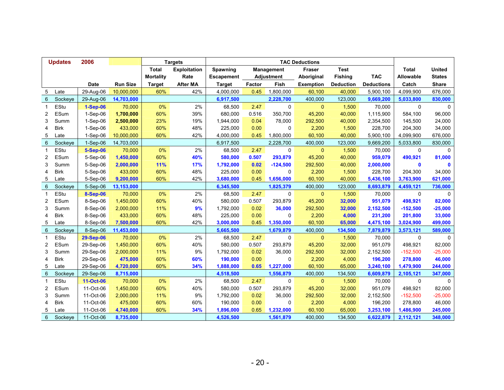| 2006<br><b>Updates</b> |             |                  |                 | <b>Targets</b>   |                     | <b>TAC Deductions</b> |                   |                   |                  |                  |                   |              |               |
|------------------------|-------------|------------------|-----------------|------------------|---------------------|-----------------------|-------------------|-------------------|------------------|------------------|-------------------|--------------|---------------|
|                        |             |                  |                 | <b>Total</b>     | <b>Exploitation</b> | <b>Spawning</b>       | <b>Management</b> |                   | <b>Fraser</b>    | <b>Test</b>      |                   | <b>Total</b> | <b>United</b> |
|                        |             |                  |                 | <b>Mortality</b> | Rate                | <b>Escapement</b>     |                   | <b>Adjustment</b> | Aboriginal       | <b>Fishing</b>   | <b>TAC</b>        | Allowable    | <b>States</b> |
|                        |             | <b>Date</b>      | <b>Run Size</b> | <b>Target</b>    | <b>After MA</b>     | <b>Target</b>         | Factor            | Fish              | <b>Exemption</b> | <b>Deduction</b> | <b>Deductions</b> | Catch        | Share         |
| 5                      | Late        | 29-Aug-06        | 10,000,000      | 60%              | 42%                 | 4,000,000             | 0.45              | 1,800,000         | 60,100           | 40,000           | 5,900,100         | 4,099,900    | 676,000       |
| 6                      | Sockeye     | 29-Aug-06        | 14,703,000      |                  |                     | 6,917,500             |                   | 2,228,700         | 400,000          | 123,000          | 9,669,200         | 5,033,800    | 830,000       |
| $\mathbf 1$            | EStu        | $1-Sep-06$       | 70,000          | 0%               | 2%                  | 68,500                | 2.47              | $\mathbf{0}$      | $\Omega$         | 1,500            | 70,000            | 0            | $\Omega$      |
| 2                      | ESum        | $1-Sep-06$       | 1,700,000       | 60%              | 39%                 | 680,000               | 0.516             | 350,700           | 45,200           | 40,000           | 1,115,900         | 584,100      | 96,000        |
| 3                      | Summ        | $1-Sep-06$       | 2,500,000       | 23%              | 19%                 | 1,944,000             | 0.04              | 78,000            | 292,500          | 40,000           | 2,354,500         | 145,500      | 24,000        |
| 4                      | <b>Birk</b> | $1-Sep-06$       | 433,000         | 60%              | 48%                 | 225,000               | 0.00              | 0                 | 2,200            | 1,500            | 228,700           | 204,300      | 34,000        |
| 5                      | Late        | $1-Sep-06$       | 10,000,000      | 60%              | 42%                 | 4,000,000             | 0.45              | 1,800,000         | 60,100           | 40,000           | 5,900,100         | 4,099,900    | 676,000       |
| 6                      | Sockeye     | $1-Sep-06$       | 14,703,000      |                  |                     | 6,917,500             |                   | 2,228,700         | 400,000          | 123,000          | 9,669,200         | 5,033,800    | 830,000       |
| $\mathbf 1$            | EStu        | <b>5-Sep-06</b>  | 70,000          | 0%               | 2%                  | 68,500                | 2.47              | 0                 | $\mathbf{0}$     | 1,500            | 70,000            | 0            | $\mathbf{0}$  |
| 2                      | ESum        | 5-Sep-06         | 1,450,000       | 60%              | 40%                 | 580,000               | 0.507             | 293,879           | 45,200           | 40,000           | 959,079           | 490,921      | 81,000        |
| 3                      | Summ        | 5-Sep-06         | 2,000,000       | 11%              | 17%                 | 1,792,000             | 0.02              | $-124,500$        | 292,500          | 40,000           | 2,000,000         | 0            |               |
| 4                      | <b>Birk</b> | 5-Sep-06         | 433,000         | 60%              | 48%                 | 225,000               | 0.00              | $\Omega$          | 2,200            | 1,500            | 228,700           | 204,300      | 34,000        |
| 5                      | Late        | 5-Sep-06         | 9,200,000       | 60%              | 42%                 | 3,680,000             | 0.45              | 1,656,000         | 60,100           | 40,000           | 5,436,100         | 3,763,900    | 621,000       |
| 6                      | Sockeye     | 5-Sep-06         | 13,153,000      |                  |                     | 6,345,500             |                   | 1,825,379         | 400,000          | 123,000          | 8,693,879         | 4,459,121    | 736,000       |
| $\mathbf{1}$           | EStu        | <b>8-Sep-06</b>  | 70,000          | 0%               | 2%                  | 68,500                | 2.47              | $\Omega$          | $\overline{0}$   | 1,500            | 70,000            | $\mathbf 0$  | $\Omega$      |
| $\overline{2}$         | ESum        | 8-Sep-06         | 1,450,000       | 60%              | 40%                 | 580,000               | 0.507             | 293,879           | 45,200           | 32,000           | 951,079           | 498,921      | 82,000        |
| 3                      | Summ        | 8-Sep-06         | 2,000,000       | 11%              | 9%                  | 1,792,000             | 0.02              | 36,000            | 292,500          | 32,000           | 2,152,500         | $-152,500$   | $-25,000$     |
| $\overline{4}$         | <b>Birk</b> | 8-Sep-06         | 433,000         | 60%              | 48%                 | 225,000               | 0.00              | 0                 | 2,200            | 4,000            | 231,200           | 201,800      | 33,000        |
| 5                      | Late        | 8-Sep-06         | 7,500,000       | 60%              | 42%                 | 3,000,000             | 0.45              | 1,350,000         | 60,100           | 65,000           | 4,475,100         | 3,024,900    | 499,000       |
| $6\phantom{1}6$        | Sockeye     | 8-Sep-06         | 11,453,000      |                  |                     | 5,665,500             |                   | 1,679,879         | 400,000          | 134,500          | 7,879,879         | 3,573,121    | 589,000       |
| $\mathbf 1$            | EStu        | <b>29-Sep-06</b> | 70,000          | 0%               | 2%                  | 68,500                | 2.47              | $\mathbf{0}$      | $\mathbf{0}$     | 1,500            | 70,000            | 0            | 0             |
| 2                      | ESum        | 29-Sep-06        | 1,450,000       | 60%              | 40%                 | 580,000               | 0.507             | 293,879           | 45,200           | 32,000           | 951,079           | 498,921      | 82,000        |
| 3                      | Summ        | 29-Sep-06        | 2,000,000       | 11%              | 9%                  | 1,792,000             | 0.02              | 36,000            | 292,500          | 32,000           | 2,152,500         | $-152,500$   | $-25,000$     |
| 4                      | <b>Birk</b> | 29-Sep-06        | 475,000         | 60%              | 60%                 | 190,000               | 0.00              | $\Omega$          | 2,200            | 4,000            | 196,200           | 278,800      | 46,000        |
| 5                      | Late        | 29-Sep-06        | 4,720,000       | 60%              | 34%                 | 1,888,000             | 0.65              | 1,227,000         | 60,100           | 65,000           | 3,240,100         | 1,479,900    | 244,000       |
| 6                      | Sockeye     | 29-Sep-06        | 8,715,000       |                  |                     | 4,518,500             |                   | 1,556,879         | 400,000          | 134,500          | 6,609,879         | 2,105,121    | 347,000       |
| $\mathbf 1$            | EStu        | 11-Oct-06        | 70,000          | 0%               | 2%                  | 68,500                | 2.47              | 0                 | $\mathbf{0}$     | 1,500            | 70,000            | $\mathbf 0$  | $\Omega$      |
| $\overline{2}$         | ESum        | 11-Oct-06        | 1,450,000       | 60%              | 40%                 | 580,000               | 0.507             | 293,879           | 45,200           | 32,000           | 951,079           | 498,921      | 82,000        |
| 3                      | Summ        | 11-Oct-06        | 2,000,000       | 11%              | 9%                  | 1,792,000             | 0.02              | 36,000            | 292,500          | 32,000           | 2,152,500         | $-152,500$   | $-25,000$     |
| 4                      | <b>Birk</b> | 11-Oct-06        | 475,000         | 60%              | 60%                 | 190,000               | 0.00              | 0                 | 2,200            | 4,000            | 196,200           | 278,800      | 46,000        |
| 5                      | Late        | 11-Oct-06        | 4,740,000       | 60%              | 34%                 | 1,896,000             | 0.65              | 1,232,000         | 60,100           | 65,000           | 3,253,100         | 1,486,900    | 245,000       |
| 6                      | Sockeye     | 11-Oct-06        | 8,735,000       |                  |                     | 4,526,500             |                   | 1,561,879         | 400,000          | 134,500          | 6,622,879         | 2,112,121    | 348,000       |